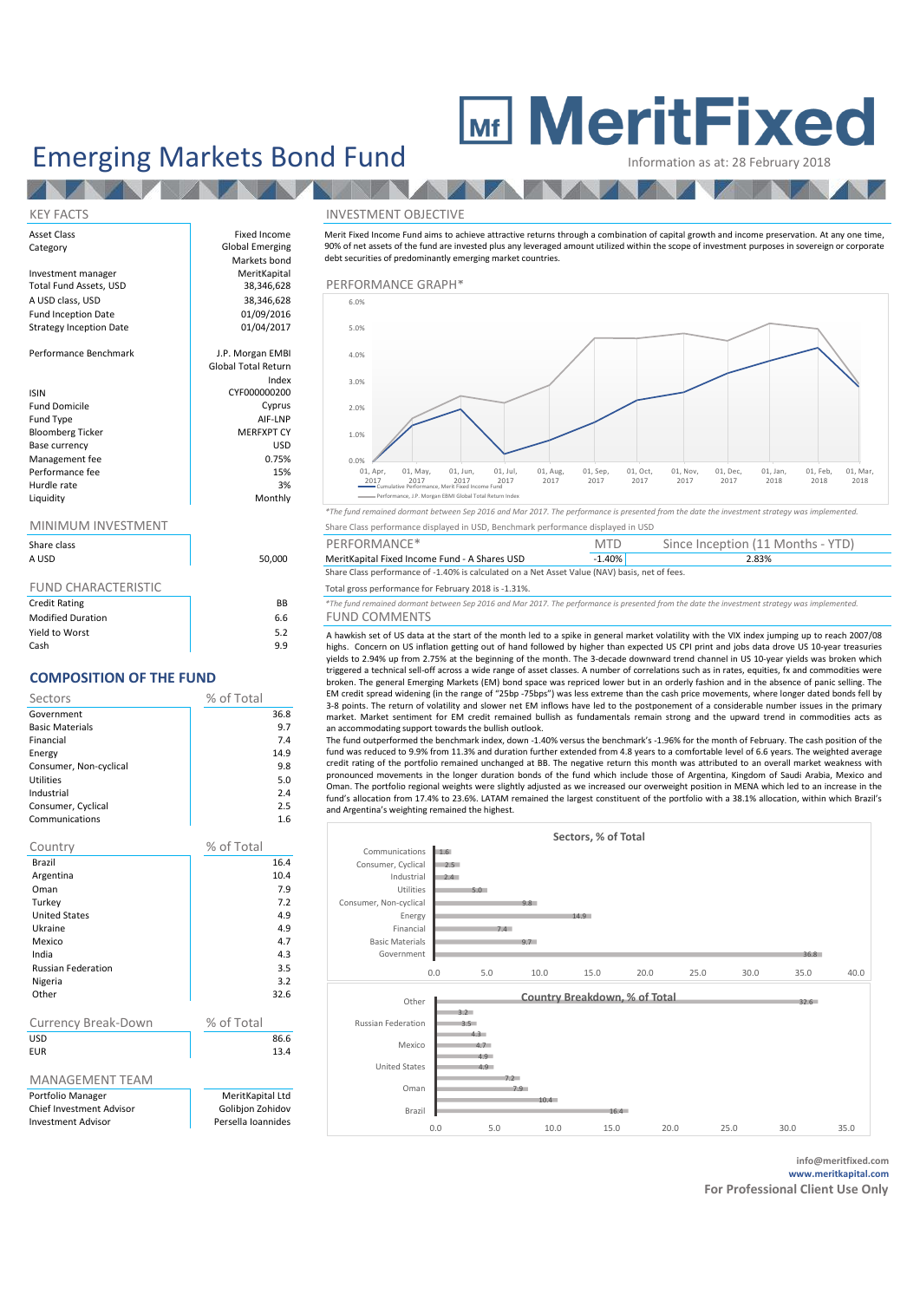# Emerging Markets Bond Fund MeritFixed

**TANK AT** 

## Asset Class **Fixed Income** Category **Global Emerging** Markets bond<br>MeritKapital Investment manager and MeritKapital MeritKapital MeritKapital of the Merit Capital Merit Capital Merit Capital<br>
38,346,628 and Merit Capital Merit Capital Merit Capital Merit Capital Merit Capital Merit Capital Merit Capi A USD class, USD 38,346,628<br>
Fund Incention Date 6 01/09/2016 Fund Inception Date 01/09/2016<br>Strategy Incention Date 01/04/2017 Strategy Inception Date Performance Benchmark and J.P. Morgan EMBI Global Total Return Index ISIN CYF000000200 Fund Domicile Cyprus (Cyprus Cyprus Cyprus Cyprus Cyprus Cyprus Cyprus Cyprus Cyprus Cyprus Cyprus Cyprus Cyprus Cyprus Cyprus Cyprus Cyprus Cyprus Cyprus Cyprus Cyprus Cyprus Cyprus Cyprus Cyprus Cyprus Cyprus Cyprus Cypr Fund Type all and Type and Type and Type and Type and Type and Type and Type and Type and Type and Type and Type and Type and Type and Type and Type and Type and Type and Type and Type and Type and Type and Type and Type a Bloomberg Ticker MERFXPT CY<br>Rase Currency (MERFXPT CY Base currency USD<br>
Management fee 
0.75%<br>
0.75% Management fee  $0.75\%$ <br>Performance fee  $15\%$ Performance fee 15% Hurdle rate and the state of the state of the state of the state of the state of the state of the state of the state of the state of the state of the state of the state of the state of the state of the state of the state o

NZ

Liquidity

| Share class |      |
|-------------|------|
| A USD       | 50,0 |
|             |      |

| <b>Credit Rating</b>     | ΒB  |
|--------------------------|-----|
| <b>Modified Duration</b> | 6.6 |
| Yield to Worst           | 5.2 |
| Cash                     | 9.9 |

## **COMPOSITION OF THE FUND**

| Sectors                | % of Total |
|------------------------|------------|
| Government             | 36.8       |
| <b>Basic Materials</b> | 9.7        |
| Financial              | 7.4        |
| Energy                 | 14.9       |
| Consumer, Non-cyclical | 9.8        |
| Utilities              | 5.0        |
| Industrial             | 2.4        |
| Consumer, Cyclical     | 2.5        |
| Communications         | 1.6        |

| Country                         | % of Total         |  |
|---------------------------------|--------------------|--|
| Brazil                          | 16.4               |  |
| Argentina                       | 10.4               |  |
| Oman                            | 7.9                |  |
| Turkey                          | 7.2                |  |
| <b>United States</b>            | 4.9                |  |
| Ukraine                         | 4.9                |  |
| Mexico                          | 4.7                |  |
| India                           | 4.3                |  |
| <b>Russian Federation</b>       | 3.5                |  |
| Nigeria                         | 3.2                |  |
| Other                           | 32.6               |  |
|                                 |                    |  |
| <b>Currency Break-Down</b>      | % of Total         |  |
| <b>USD</b>                      | 86.6               |  |
| <b>EUR</b>                      | 13.4               |  |
|                                 |                    |  |
| <b>MANAGEMENT TEAM</b>          |                    |  |
| Portfolio Manager               | MeritKapital Ltd   |  |
| <b>Chief Investment Advisor</b> | Golibion Zohidov   |  |
| Investment Advisor              | Darcalla Inannidac |  |

### KEY FACTS INVESTMENT OBJECTIVE

Merit Fixed Income Fund aims to achieve attractive returns through a combination of capital growth and income preservation. At any one time, 90% of net assets of the fund are invested plus any leveraged amount utilized within the scope of investment purposes in sovereign or corporate debt securities of predominantly emerging market countries.

### $T_{38,346,628}$  PERFORMANCE GRAPH\* 0.0% 1.0% 2.0% 3.0% 4.0% 5.0% 6.0%  $01$ , Apr 2017  $01$ , May 2017 01, Jun,  $201$ 01, Jul, 2017  $01, A_{11}$  $^{12,00}$  $01, S_{\text{or}}$  $2017$  $01, 0c$ 2017<br>2017  $01$ , Nov 2, 199<br>2017  $01, Da$  $2017$ 01, Jan  $71, 39$  $01,$  Feb  $71,19$ 01, Mar,  $2018$ Cumulative Performance, Merit Fixed Income Fund Performance, J.P. Morgan EBMI Global Total Return Index

*\*The fund remained dormant between Sep 2016 and Mar 2017. The performance is presented from the date the investment strategy was implemented.* MINIMUM INVESTMENT Share Class performance displayed in USD, Benchmark performance displayed in USD

| Share class |        | PERFORMANCE*                                                                                   | <b>MTD</b> | Since Inception (11 Months - YTD) |
|-------------|--------|------------------------------------------------------------------------------------------------|------------|-----------------------------------|
| A USD       | 50,000 | MeritKapital Fixed Income Fund - A Shares USD                                                  | 1.40%      | 2.83%                             |
|             |        | Share Class performance of -1.40% is calculated on a Net Asset Value (NAV) basis, net of fees. |            |                                   |

## FUND CHARACTERISTIC<br> **FOR TOTAL TOTAL TOTAL TOTAL TOTAL TOTAL TOTAL TOTAL TOTAL TOTAL TOTAL TOTAL TOTAL STATE FUND**<br> **EXECUTE RATING**

\*The fund remained dormant between Sep 2016 and Mar 2017. The performance is presented from the date the investment strategy was implemented

6 FUND COMMENTS<br>2. A hawkish set of US data a A hawkish set of US data at the start of the month led to a spike in general market volatility with the VIX index jumping up to reach 2007/08 highs. Concern on US inflation getting out of hand followed by higher than expected US CPI print and jobs data drove US 10-year treasuries yields to 2.94% up from 2.75% at the beginning of the month. The 3-decade downward trend channel in US 10-year yields was broken which triggered a technical sell-off across a wide range of asset classes. A number of correlations such as in rates, equities, fx and commodities were broken. The general Emerging Markets (EM) bond space was repriced lower but in an orderly fashion and in the absence of panic selling. The EM credit spread widening (in the range of "25bp -75bps") was less extreme than the cash price movements, where longer dated bonds fell by 3-8 points. The return of volatility and slower net EM inflows have led to the postponement of a considerable number issues in the primary market. Market sentiment for EM credit remained bullish as fundamentals remain strong and the upward trend in commodities acts as an accommodating support towards the bullish outlook.

The fund outperformed the benchmark index, down -1.40% versus the benchmark's -1.96% for the month of February. The cash position of the fund was reduced to 9.9% from 11.3% and duration further extended from 4.8 years to a comfortable level of 6.6 years. The weighted average credit rating of the portfolio remained unchanged at BB. The negative return this month was attributed to an overall market weakness with pronounced movements in the longer duration bonds of the fund which include those of Argentina, Kingdom of Saudi Arabia, Mexico and Oman. The portfolio regional weights were slightly adjusted as we increased our overweight position in MENA which led to an increase in the fund's allocation from 17.4% to 23.6%. LATAM remained the largest constituent of the portfolio with a 38.1% allocation, within which Brazil's and Argentina's weighting remained the highest.